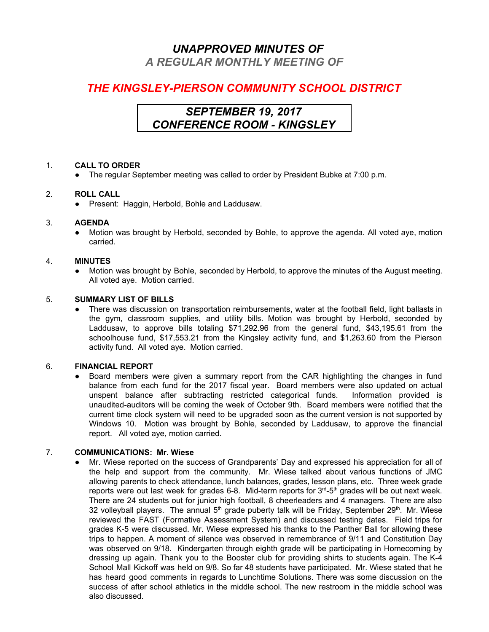## *UNAPPROVED MINUTES OF*

*A REGULAR MONTHLY MEETING OF*

## *THE KINGSLEY-PIERSON COMMUNITY SCHOOL DISTRICT*

## *SEPTEMBER 19, 2017 CONFERENCE ROOM - KINGSLEY*

### 1. **CALL TO ORDER**

● The regular September meeting was called to order by President Bubke at 7:00 p.m.

### 2. **ROLL CALL**

● Present: Haggin, Herbold, Bohle and Laddusaw.

### 3. **AGENDA**

● Motion was brought by Herbold, seconded by Bohle, to approve the agenda. All voted aye, motion carried.

### 4. **MINUTES**

● Motion was brought by Bohle, seconded by Herbold, to approve the minutes of the August meeting. All voted aye. Motion carried.

### 5. **SUMMARY LIST OF BILLS**

There was discussion on transportation reimbursements, water at the football field, light ballasts in the gym, classroom supplies, and utility bills. Motion was brought by Herbold, seconded by Laddusaw, to approve bills totaling \$71,292.96 from the general fund, \$43,195.61 from the schoolhouse fund, \$17,553.21 from the Kingsley activity fund, and \$1,263.60 from the Pierson activity fund. All voted aye. Motion carried.

### 6. **FINANCIAL REPORT**

Board members were given a summary report from the CAR highlighting the changes in fund balance from each fund for the 2017 fiscal year. Board members were also updated on actual unspent balance after subtracting restricted categorical funds. Information provided is unaudited-auditors will be coming the week of October 9th. Board members were notified that the current time clock system will need to be upgraded soon as the current version is not supported by Windows 10. Motion was brought by Bohle, seconded by Laddusaw, to approve the financial report. All voted aye, motion carried.

### 7. **COMMUNICATIONS: Mr. Wiese**

Mr. Wiese reported on the success of Grandparents' Day and expressed his appreciation for all of the help and support from the community. Mr. Wiese talked about various functions of JMC allowing parents to check attendance, lunch balances, grades, lesson plans, etc. Three week grade reports were out last week for grades 6-8. Mid-term reports for 3<sup>rd</sup>-5<sup>th</sup> grades will be out next week. There are 24 students out for junior high football, 8 cheerleaders and 4 managers. There are also 32 volleyball players. The annual  $5<sup>th</sup>$  grade puberty talk will be Friday, September 29<sup>th</sup>. Mr. Wiese reviewed the FAST (Formative Assessment System) and discussed testing dates. Field trips for grades K-5 were discussed. Mr. Wiese expressed his thanks to the Panther Ball for allowing these trips to happen. A moment of silence was observed in remembrance of 9/11 and Constitution Day was observed on 9/18. Kindergarten through eighth grade will be participating in Homecoming by dressing up again. Thank you to the Booster club for providing shirts to students again. The K-4 School Mall Kickoff was held on 9/8. So far 48 students have participated. Mr. Wiese stated that he has heard good comments in regards to Lunchtime Solutions. There was some discussion on the success of after school athletics in the middle school. The new restroom in the middle school was also discussed.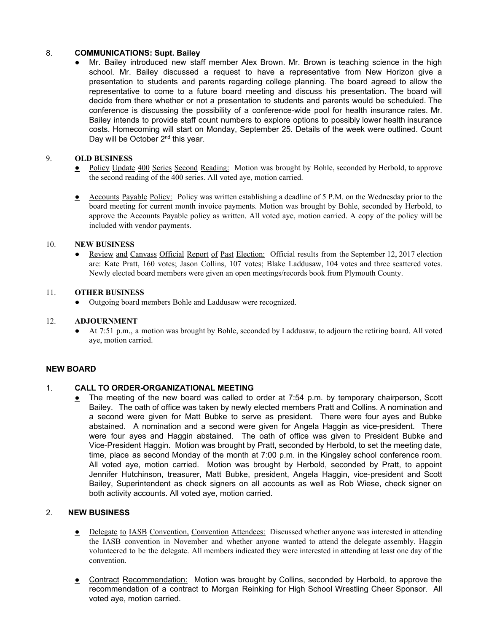# 8. **COMMUNICATIONS: Supt. Bailey**<br>• Mr. Bailev introduced new state

Mr. Bailey introduced new staff member Alex Brown. Mr. Brown is teaching science in the high school. Mr. Bailey discussed a request to have a representative from New Horizon give a presentation to students and parents regarding college planning. The board agreed to allow the representative to come to a future board meeting and discuss his presentation. The board will decide from there whether or not a presentation to students and parents would be scheduled. The conference is discussing the possibility of a conference-wide pool for health insurance rates. Mr. Bailey intends to provide staff count numbers to explore options to possibly lower health insurance costs. Homecoming will start on Monday, September 25. Details of the week were outlined. Count Day will be October 2<sup>nd</sup> this year.

### 9. **OLD BUSINESS**

- Policy Update 400 Series Second Reading: Motion was brought by Bohle, seconded by Herbold, to approve the second reading of the 400 series. All voted aye, motion carried.
- Accounts Payable Policy: Policy was written establishing a deadline of 5 P.M. on the Wednesday prior to the board meeting for current month invoice payments. Motion was brought by Bohle, seconded by Herbold, to approve the Accounts Payable policy as written. All voted aye, motion carried. A copy of the policy will be included with vendor payments.

### 10. **NEW BUSINESS**

Review and Canvass Official Report of Past Election: Official results from the September 12, 2017 election are: Kate Pratt, 160 votes; Jason Collins, 107 votes; Blake Laddusaw, 104 votes and three scattered votes. Newly elected board members were given an open meetings/records book from Plymouth County.

### 11. **OTHER BUSINESS**

Outgoing board members Bohle and Laddusaw were recognized.

#### 12. **ADJOURNMENT**

● At 7:51 p.m., a motion was brought by Bohle, seconded by Laddusaw, to adjourn the retiring board. All voted aye, motion carried.

### **NEW BOARD**

### 1. **CALL TO ORDER-ORGANIZATIONAL MEETING**

• The meeting of the new board was called to order at 7:54 p.m. by temporary chairperson, Scott Bailey. The oath of office was taken by newly elected members Pratt and Collins. A nomination and a second were given for Matt Bubke to serve as president. There were four ayes and Bubke abstained. A nomination and a second were given for Angela Haggin as vice-president. There were four ayes and Haggin abstained. The oath of office was given to President Bubke and Vice-President Haggin. Motion was brought by Pratt, seconded by Herbold, to set the meeting date, time, place as second Monday of the month at 7:00 p.m. in the Kingsley school conference room. All voted aye, motion carried. Motion was brought by Herbold, seconded by Pratt, to appoint Jennifer Hutchinson, treasurer, Matt Bubke, president, Angela Haggin, vice-president and Scott Bailey, Superintendent as check signers on all accounts as well as Rob Wiese, check signer on both activity accounts. All voted aye, motion carried.

### 2. **NEW BUSINESS**

- Delegate to IASB Convention, Convention Attendees: Discussed whether anyone was interested in attending the IASB convention in November and whether anyone wanted to attend the delegate assembly. Haggin volunteered to be the delegate. All members indicated they were interested in attending at least one day of the convention.
- **Contract Recommendation:** Motion was brought by Collins, seconded by Herbold, to approve the recommendation of a contract to Morgan Reinking for High School Wrestling Cheer Sponsor. All voted aye, motion carried.